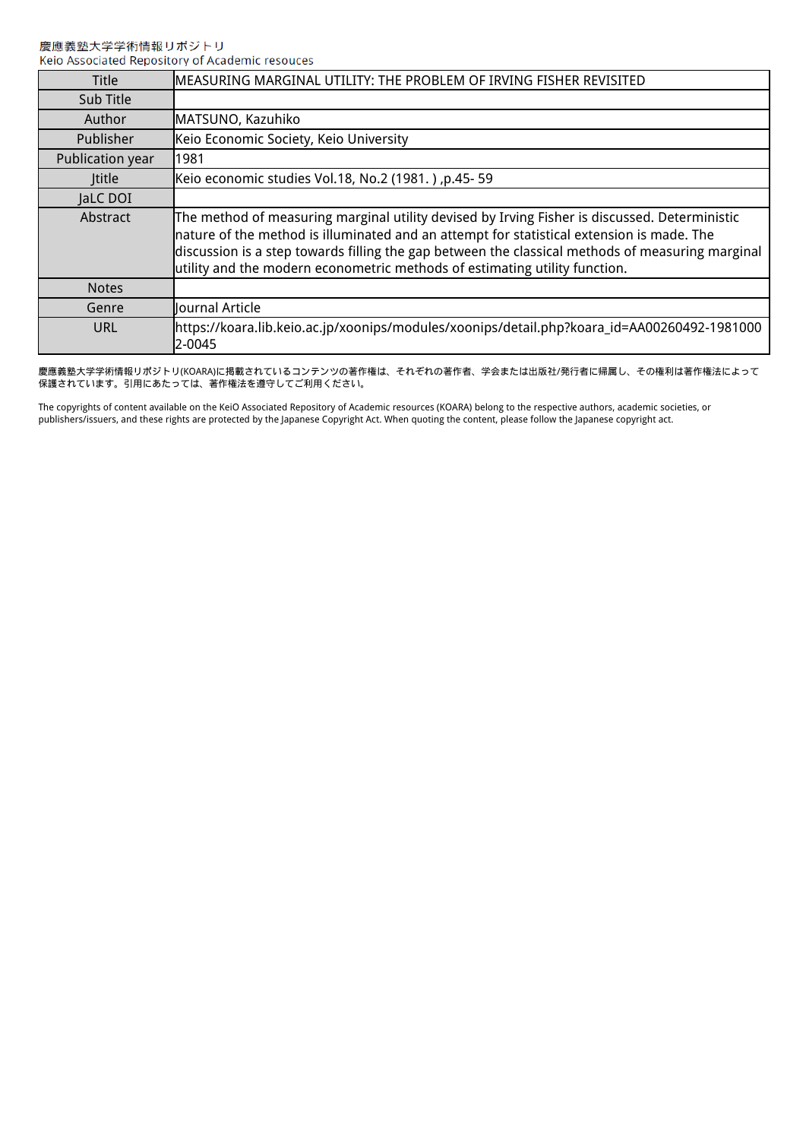| <b>Title</b>     | MEASURING MARGINAL UTILITY: THE PROBLEM OF IRVING FISHER REVISITED                                                                                                                                                                                                                                                                                                           |
|------------------|------------------------------------------------------------------------------------------------------------------------------------------------------------------------------------------------------------------------------------------------------------------------------------------------------------------------------------------------------------------------------|
| Sub Title        |                                                                                                                                                                                                                                                                                                                                                                              |
| Author           | MATSUNO, Kazuhiko                                                                                                                                                                                                                                                                                                                                                            |
| Publisher        | Keio Economic Society, Keio University                                                                                                                                                                                                                                                                                                                                       |
| Publication year | 1981                                                                                                                                                                                                                                                                                                                                                                         |
| <b>Ititle</b>    | [Keio economic studies Vol.18, No.2 (1981.), p.45- 59                                                                                                                                                                                                                                                                                                                        |
| JaLC DOI         |                                                                                                                                                                                                                                                                                                                                                                              |
| Abstract         | The method of measuring marginal utility devised by Irving Fisher is discussed. Deterministic<br>nature of the method is illuminated and an attempt for statistical extension is made. The<br>discussion is a step towards filling the gap between the classical methods of measuring marginal<br>utility and the modern econometric methods of estimating utility function. |
| <b>Notes</b>     |                                                                                                                                                                                                                                                                                                                                                                              |
| Genre            | Journal Article                                                                                                                                                                                                                                                                                                                                                              |
| URL              | https://koara.lib.keio.ac.jp/xoonips/modules/xoonips/detail.php?koara_id=AA00260492-1981000<br>2-0045                                                                                                                                                                                                                                                                        |

慶應義塾大学学術情報リポジトリ(KOARA)に掲載されているコンテンツの著作権は、それぞれの著作者、学会または出版社/発行者に帰属し、その権利は著作権法によって 保護されています。引用にあたっては、著作権法を遵守してご利用ください。

The copyrights of content available on the KeiO Associated Repository of Academic resources (KOARA) belong to the respective authors, academic societies, or publishers/issuers, and these rights are protected by the Japanese Copyright Act. When quoting the content, please follow the Japanese copyright act.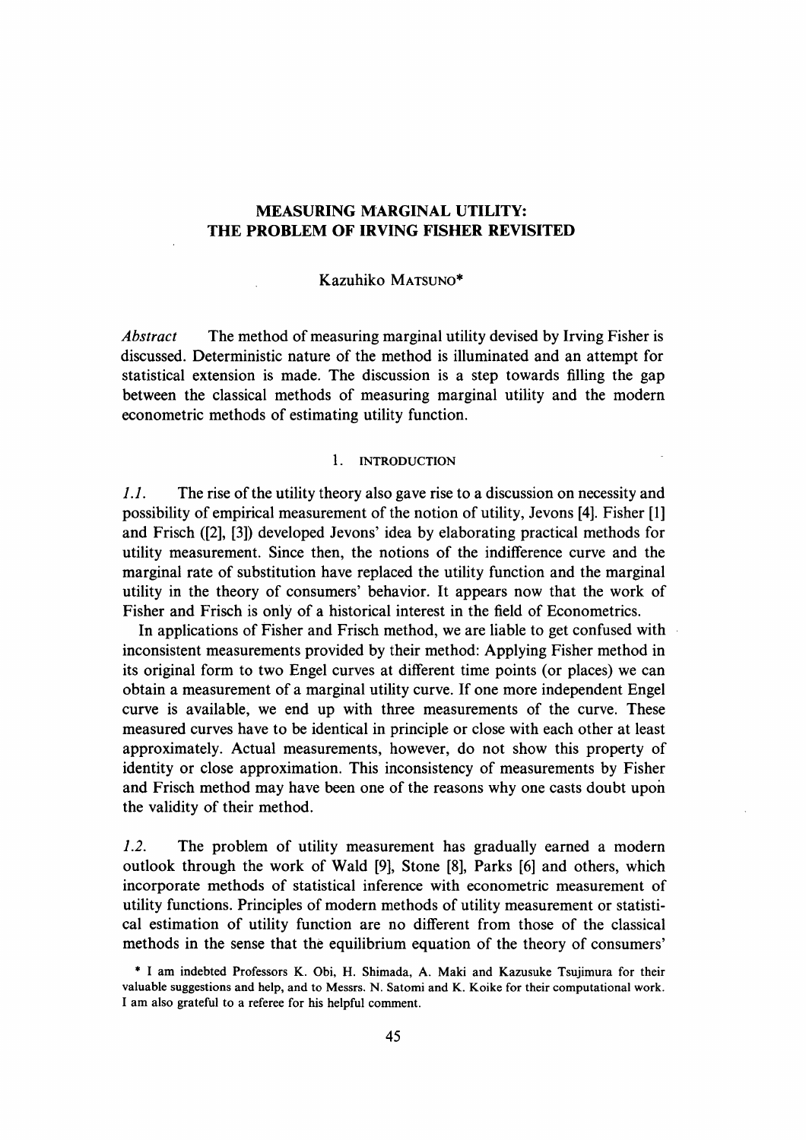# MEASURING MARGINAL UTILITY: THE PROBLEM OF IRVING FISHER REVISITED

## Kazuhiko MATSUNO\*

Abstract The method of measuring marginal utility devised by Irving Fisher is discussed. Deterministic nature of the method is illuminated and an attempt for statistical extension is made. The discussion is a step towards filling the gap between the classical methods of measuring marginal utility and the modern econometric methods of estimating utility function.

#### 1. INTRODUCTION

1.1. The rise of the utility theory also gave rise to a discussion on necessity and possibility of empirical measurement of the notion of utility, Jevons [4]. Fisher [1] and Frisch ([2], [3]) developed Jevons' idea by elaborating practical methods for utility measurement. Since then, the notions of the indifference curve and the marginal rate of substitution have replaced the utility function and the marginal utility in the theory of consumers' behavior. It appears now that the work of Fisher and Frisch is only of a historical interest in the field of Econometrics.

In applications of Fisher and Frisch method, we are liable to get confused with inconsistent measurements provided by their method: Applying Fisher method in its original form to two Engel curves at different time points (or places) we can obtain a measurement of a marginal utility curve. If one more independent Engel curve is available, we end up with three measurements of the curve. These measured curves have to be identical in principle or close with each other at least approximately. Actual measurements, however, do not show this property of identity or close approximation. This inconsistency of measurements by Fisher and Frisch method may have been one of the reasons why one casts doubt upon the validity of their method.

1.2. The problem of utility measurement has gradually earned a modern outlook through the work of Wald [9], Stone [8], Parks [6] and others, which incorporate methods of statistical inference with econometric measurement of utility functions. Principles of modern methods of utility measurement or statistical estimation of utility function are no different from those of the classical methods in the sense that the equilibrium equation of the theory of consumers'

<sup>\*</sup> I am indebted Professors K. Obi, H. Shimada, A. Maki and Kazusuke Tsujimura for their valuable suggestions and help, and to Messrs. N. Satomi and K. Koike for their computational work. I am also grateful to a referee for his helpful comment.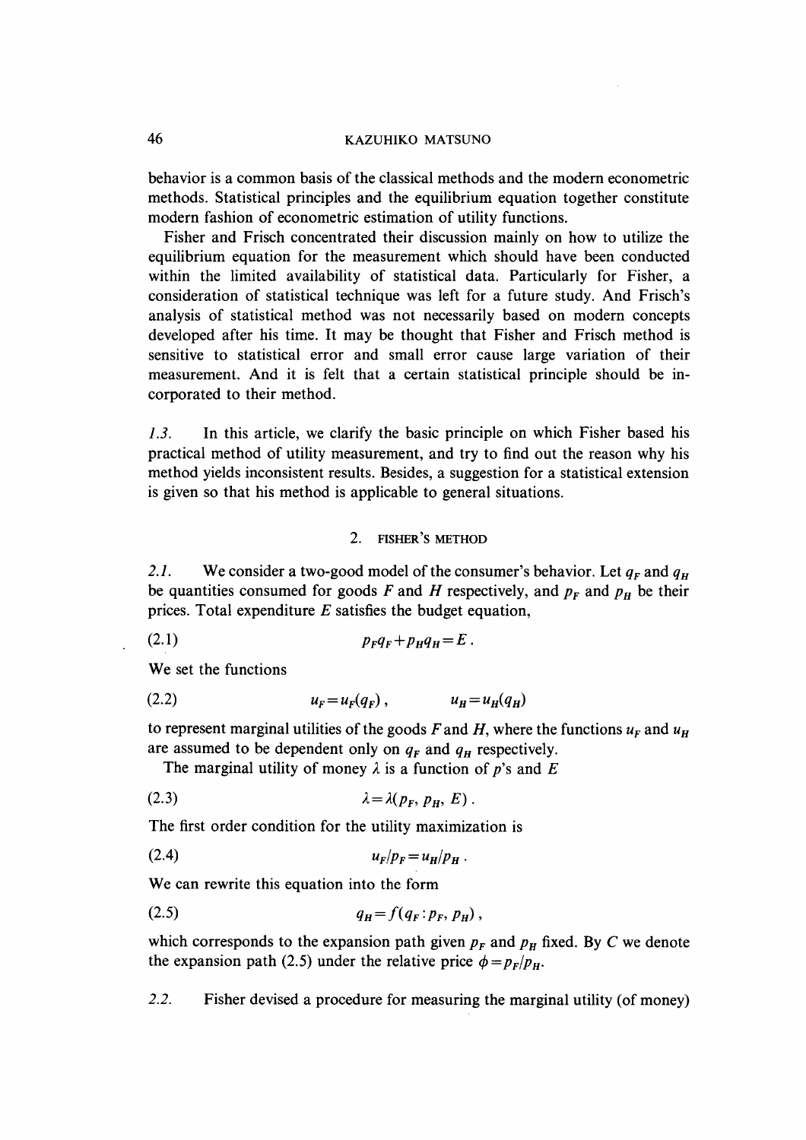behavior is a common basis of the classical methods and the modern econometric methods. Statistical principles and the equilibrium equation together constitute modern fashion of econometric estimation of utility functions.

Fisher and Frisch concentrated their discussion mainly on how to utilize the equilibrium equation for the measurement which should have been conducted within the limited availability of statistical data. Particularly for Fisher, a consideration of statistical technique was left for a future study. And Frisch's analysis of statistical method was not necessarily based on modern concepts developed after his time. It may be thought that Fisher and Frisch method is sensitive to statistical error and small error cause large variation of their measurement. And it is felt that a certain statistical principle should be incorporated to their method.

1.3. In this article, we clarify the basic principle on which Fisher based his practical method of utility measurement, and try to find out the reason why his method yields inconsistent results. Besides, a suggestion for a statistical extension is given so that his method is applicable to general situations.

## 2. FISHER'S METHOD

2.1. We consider a two-good model of the consumer's behavior. Let  $q_F$  and  $q_H$ be quantities consumed for goods F and H respectively, and  $p_F$  and  $p_H$  be their prices. Total expenditure  $E$  satisfies the budget equation,

(2.1)PFgF +PHgH = E •

We set the functions

$$
(2.2) \t\t\t  $u_F = u_F(q_F),$  \t\t\t  $u_H = u_H(q_H)$
$$

to represent marginal utilities of the goods F and H, where the functions  $u_F$  and  $u_H$ are assumed to be dependent only on  $q_F$  and  $q_H$  respectively.

The marginal utility of money  $\lambda$  is a function of p's and E

$$
\lambda = \lambda(p_F, p_H, E).
$$

The first order condition for the utility maximization is

$$
(2.4) \t\t\t  $u_F/p_F = u_H/p_H.$
$$

We can rewrite this equation into the form

$$
(2.5) \t\t q_H = f(q_F: p_F, p_H),
$$

which corresponds to the expansion path given  $p_F$  and  $p_H$  fixed. By C we denote the expansion path (2.5) under the relative price  $\phi = p_F/p_H$ .

2.2. Fisher devised a procedure for measuring the marginal utility (of money)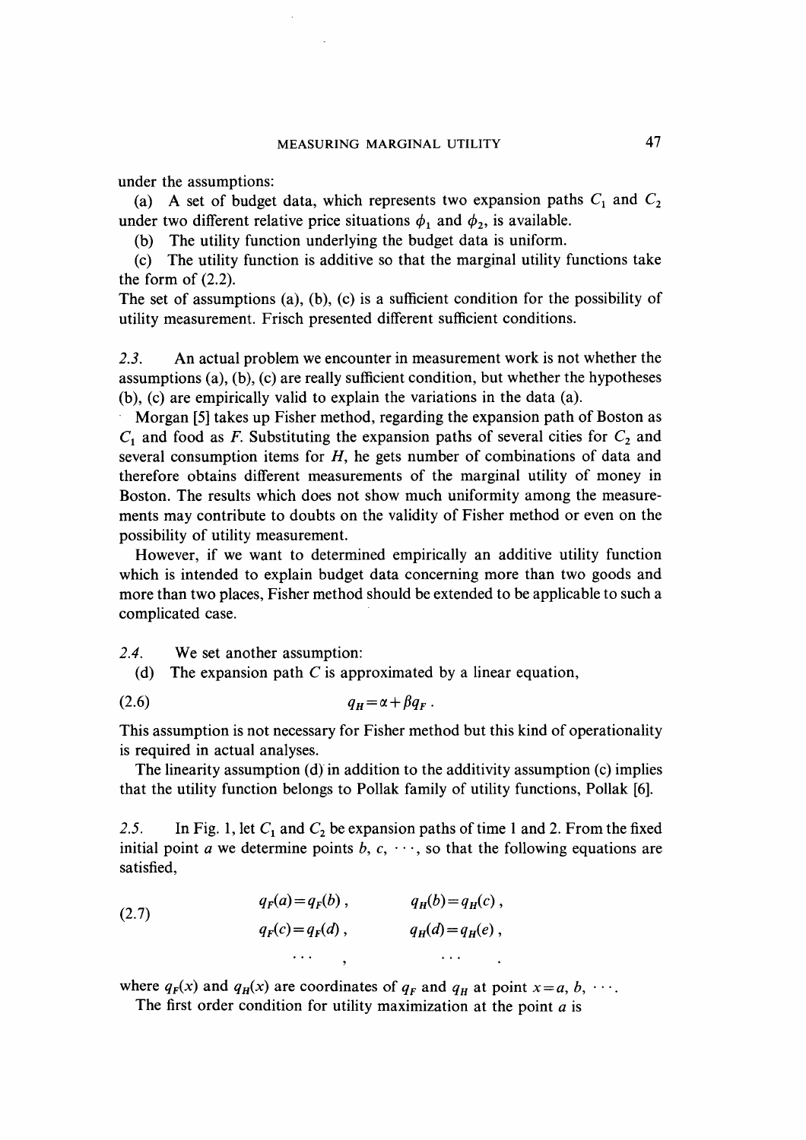under the assumptions:

(a) A set of budget data, which represents two expansion paths  $C_1$  and  $C_2$ under two different relative price situations  $\phi_1$  and  $\phi_2$ , is available.

(b) The utility function underlying the budget data is uniform.

(c) The utility function is additive so that the marginal utility functions take the form of (2.2).

The set of assumptions (a), (b), (c) is a sufficient condition for the possibility of utility measurement. Frisch presented different sufficient conditions.

2.3. An actual problem we encounter in measurement work is not whether the assumptions (a), (b), (c) are really sufficient condition, but whether the hypotheses (b), (c) are empirically valid to explain the variations in the data (a).

Morgan [5] takes up Fisher method, regarding the expansion path of Boston as  $C_1$  and food as F. Substituting the expansion paths of several cities for  $C_2$  and several consumption items for  $H$ , he gets number of combinations of data and therefore obtains different measurements of the marginal utility of money in Boston. The results which does not show much uniformity among the measurements may contribute to doubts on the validity of Fisher method or even on the possibility of utility measurement.

However, if we want to determined empirically an additive utility function which is intended to explain budget data concerning more than two goods and more than two places, Fisher method should be extended to be applicable to such a complicated case.

2.4. We set another assumption:

(d) The expansion path  $C$  is approximated by a linear equation,

$$
(2.6) \t\t q_H = \alpha + \beta q_F.
$$

This assumption is not necessary for Fisher method but this kind of operationality is required in actual analyses.

The linearity assumption (d) in addition to the additivity assumption (c) implies that the utility function belongs to Pollak family of utility functions, Pollak [6].

2.5. In Fig. 1, let  $C_1$  and  $C_2$  be expansion paths of time 1 and 2. From the fixed initial point a we determine points b,  $c, \dots$ , so that the following equations are satisfied,

(2.7) 
$$
q_F(a) = q_F(b), \qquad q_H(b) = q_H(c),
$$

$$
q_F(c) = q_F(d), \qquad q_H(d) = q_H(e),
$$

$$
\cdots , \qquad \cdots
$$

where  $q_F(x)$  and  $q_H(x)$  are coordinates of  $q_F$  and  $q_H$  at point  $x = a, b, \cdots$ .

The first order condition for utility maximization at the point  $a$  is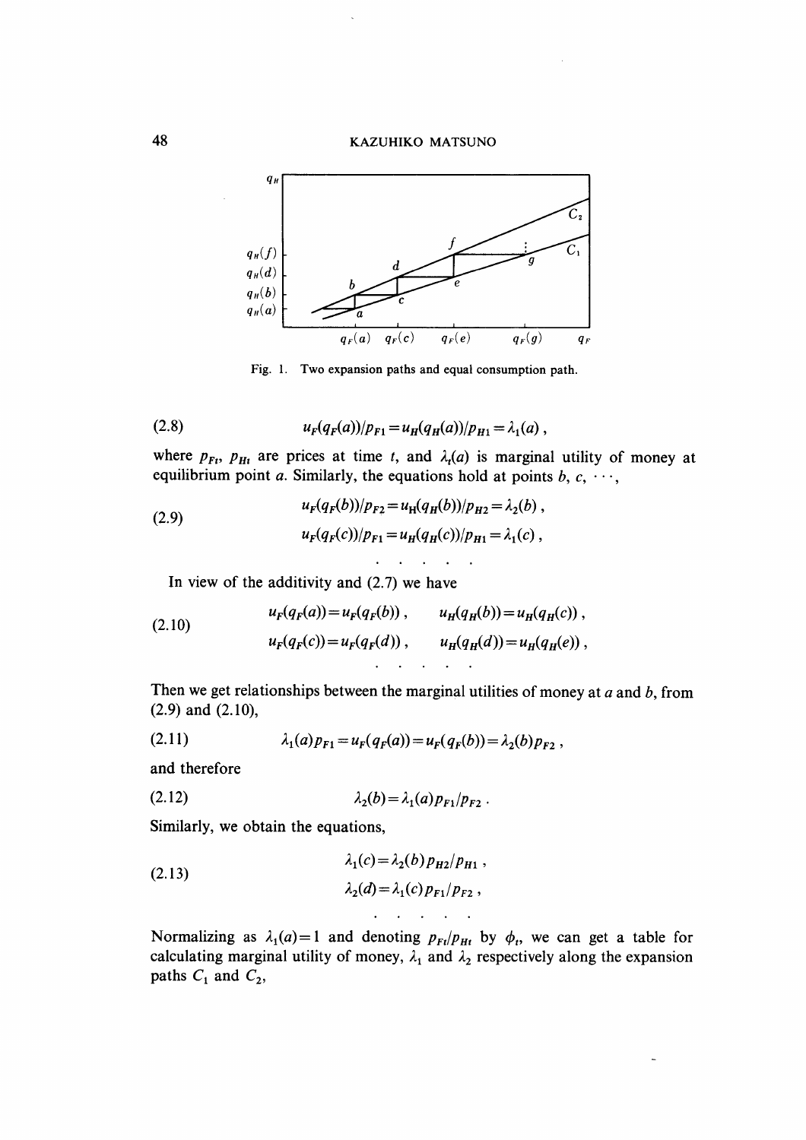

Fig. 1. Two expansion paths and equal consumption path.

(2.8) 
$$
u_F(q_F(a))/p_{F1} = u_H(q_H(a))/p_{H1} = \lambda_1(a) ,
$$

where  $p_{Ft}$ ,  $p_{Ht}$  are prices at time t, and  $\lambda_t(a)$  is marginal utility of money at equilibrium point a. Similarly, the equations hold at points b, c,  $\cdots$ ,

(2.9) 
$$
u_F(q_F(b))/p_{F2} = u_H(q_H(b))/p_{H2} = \lambda_2(b),
$$

$$
u_F(q_F(c))/p_{F1} = u_H(q_H(c))/p_{H1} = \lambda_1(c),
$$

In view of the additivity and  $(2.7)$  we have

(2.10) 
$$
u_F(q_F(a)) = u_F(q_F(b)), \qquad u_H(q_H(b)) = u_H(q_H(c)),
$$

$$
u_F(q_F(c)) = u_F(q_F(d)), \qquad u_H(q_H(d)) = u_H(q_H(e)),
$$

Then we get relationships between the marginal utilities of money at  $a$  and  $b$ , from (2.9) and (2.10),

(2.11) 
$$
\lambda_1(a) p_{F1} = u_F(q_F(a)) = u_F(q_F(b)) = \lambda_2(b) p_{F2},
$$

and therefore

(2.12) 
$$
\lambda_2(b) = \lambda_1(a) p_{F1}/p_{F2} .
$$

Similarly, we obtain the equations,

(2.13) 
$$
\lambda_1(c) = \lambda_2(b) p_{H2}/p_{H1}, \lambda_2(d) = \lambda_1(c) p_{F1}/p_{F2},
$$

Normalizing as  $\lambda_1(a)=1$  and denoting  $p_{Ft}/p_{Ht}$  by  $\phi_t$ , we can get a table for calculating marginal utility of money,  $\lambda_1$  and  $\lambda_2$  respectively along the expansion paths  $C_1$  and  $C_2$ ,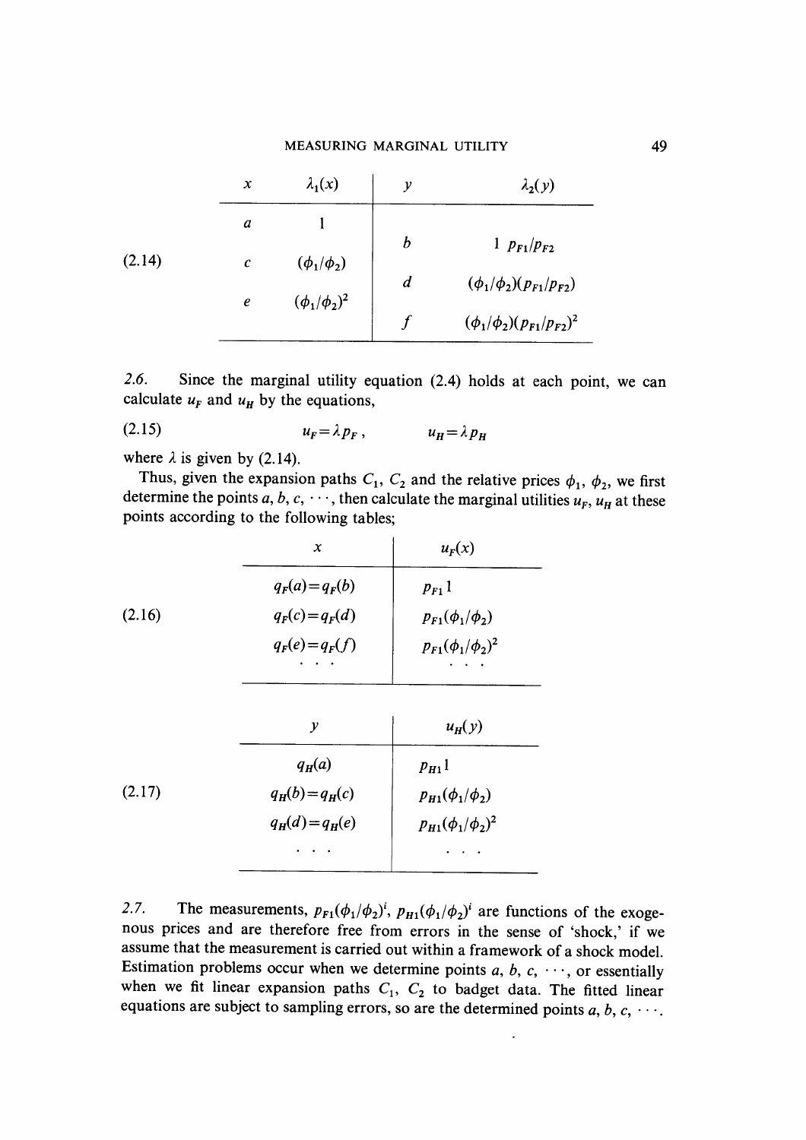# MEASURING MARGINAL UTILITY

|        | $\boldsymbol{\mathsf{x}}$ | $\lambda_1(x)$      | $\mathcal{Y}$    | $\lambda_2(y)$                     |
|--------|---------------------------|---------------------|------------------|------------------------------------|
|        | a                         |                     | $\boldsymbol{b}$ | 1 $p_{F1}/p_{F2}$                  |
| (2.14) | $\boldsymbol{c}$          | $(\phi_1/\phi_2)$   |                  |                                    |
|        | $\boldsymbol{e}$          | $(\phi_1/\phi_2)^2$ | $\boldsymbol{d}$ | $(\phi_1/\phi_2)(p_{F1}/p_{F2})$   |
|        |                           |                     |                  | $(\phi_1/\phi_2)(p_{F1}/p_{F2})^2$ |

2.6. Since the marginal utility equation (2.4) holds at each point, we can calculate  $u_F$  and  $u_H$  by the equations,

$$
(2.15) \t\t u_F = \lambda p_F, \t\t u_H = \lambda p_H
$$

where  $\lambda$  is given by (2.14).

Thus, given the expansion paths  $C_1$ ,  $C_2$  and the relative prices  $\phi_1$ ,  $\phi_2$ , we first determine the points a, b, c,  $\cdots$ , then calculate the marginal utilities  $u_F$ ,  $u_H$  at these points according to the following tables;

| $\boldsymbol{x}$  | $u_F(x)$                  |  |
|-------------------|---------------------------|--|
| $q_F(a) = q_F(b)$ | $p_{F1}1$                 |  |
| $q_F(c) = q_F(d)$ | $p_{F1}(\phi_1/\phi_2)$   |  |
| $q_F(e) = q_F(f)$ | $p_{F1}(\phi_1/\phi_2)^2$ |  |
| $\mathcal{Y}$     | $u_H(y)$                  |  |
| $q_H(a)$          | $p_{H1}$                  |  |
| $q_H(b)=q_H(c)$   | $p_{H1}(\phi_1/\phi_2)$   |  |
| $q_H(d) = q_H(e)$ | $p_{H1}(\phi_1/\phi_2)^2$ |  |
|                   |                           |  |
|                   |                           |  |

2.7. The measurements,  $p_{F1}(\phi_1/\phi_2)^i$ ,  $p_{H1}(\phi_1/\phi_2)^i$  are functions of the exogenous prices and are therefore free from errors in the sense of `shock ,' if we assume that the measurement is carried out within a framework of a shock model . Estimation problems occur when we determine points  $a, b, c, \dots$ , or essentially when we fit linear expansion paths  $C_1$ ,  $C_2$  to badget data. The fitted linear equations are subject to sampling errors, so are the determined points  $a, b, c, \cdots$ .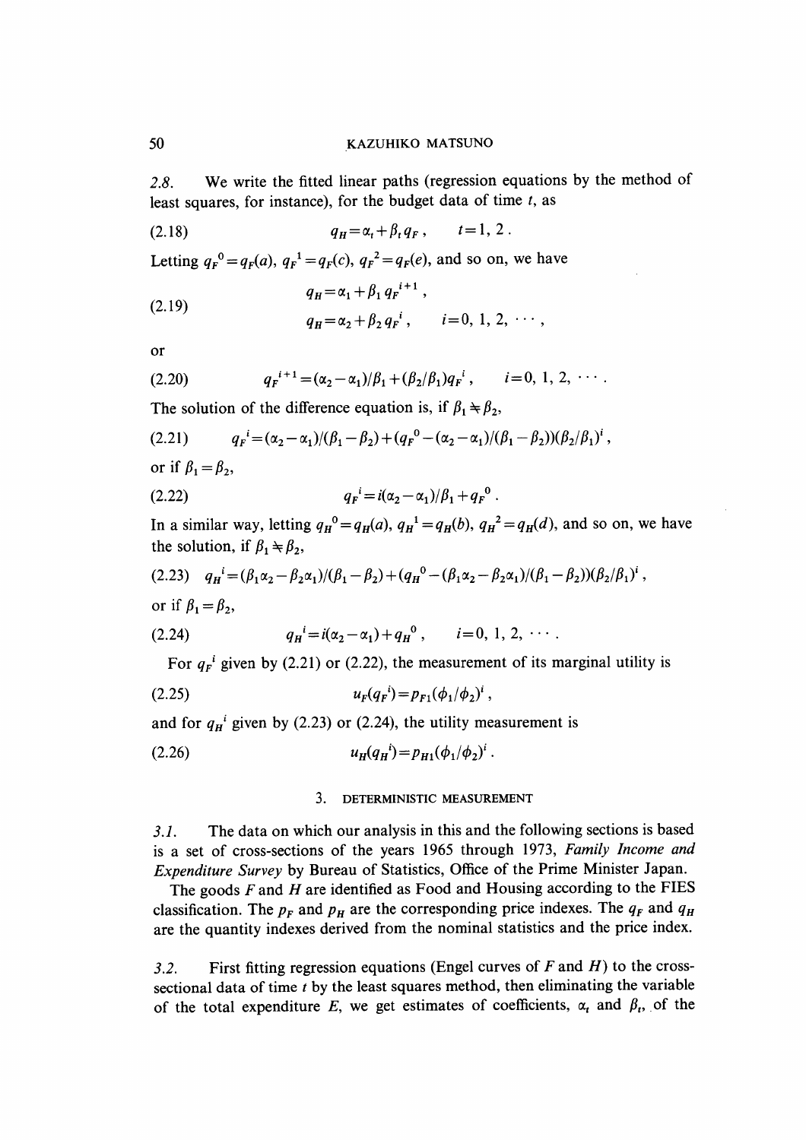2.8. We write the fitted linear paths (regression equations by the method of least squares, for instance), for the budget data of time  $t$ , as

(2.18) 
$$
q_H = \alpha_t + \beta_t q_F, \qquad t = 1, 2.
$$

Letting  $q_F^0 = q_F(a)$ ,  $q_F^1 = q_F(c)$ ,  $q_F^2 = q_F(e)$ , and so on, we have

(2.19) 
$$
q_{H} = \alpha_{1} + \beta_{1} q_{F}^{i+1},
$$

$$
q_{H} = \alpha_{2} + \beta_{2} q_{F}^{i}, \qquad i = 0, 1, 2, \cdots,
$$

or

$$
(2.20) \t q_F^{i+1} = (\alpha_2 - \alpha_1)/\beta_1 + (\beta_2/\beta_1)q_F^{i}, \t i = 0, 1, 2, \cdots.
$$

The solution of the difference equation is, if  $\beta_1 \neq \beta_2$ ,

$$
(2.21) \t q_F^i = (\alpha_2 - \alpha_1)/(\beta_1 - \beta_2) + (q_F^0 - (\alpha_2 - \alpha_1)/(\beta_1 - \beta_2)) (\beta_2/\beta_1)^i,
$$

or if  $\beta_1 = \beta_2$ ,

(2.22) 
$$
q_F{}^i = i(\alpha_2 - \alpha_1)/\beta_1 + q_F{}^0.
$$

In a similar way, letting  $q_H^0 = q_H(a)$ ,  $q_H^1 = q_H(b)$ ,  $q_H^2 = q_H(d)$ , and so on, we have the solution, if  $\beta_1 \neq \beta_2$ ,

$$
(2.23) \t q_H^i = (\beta_1 \alpha_2 - \beta_2 \alpha_1)/(\beta_1 - \beta_2) + (q_H^0 - (\beta_1 \alpha_2 - \beta_2 \alpha_1)/(\beta_1 - \beta_2))(\beta_2/\beta_1)^i,
$$

or if  $\beta_1=\beta_2$ ,

(2.24) 
$$
q_{H}^{i} = i(\alpha_{2} - \alpha_{1}) + q_{H}^{0}, \qquad i = 0, 1, 2, \cdots
$$

For  $q_F$ <sup>i</sup> given by (2.21) or (2.22), the measurement of its marginal utility is

(2.25) 
$$
u_F(q_F^i) = p_{F1}(\phi_1/\phi_2)^i,
$$

and for  $q_H^i$  given by (2.23) or (2.24), the utility measurement is

$$
(2.26) \t u_H(q_H^i) = p_{H1}(\phi_1/\phi_2)^i.
$$

### 3. DETERMINISTIC MEASUREMENT

3.1. The data on which our analysis in this and the following sections is based is a set of cross-sections of the years 1965 through 1973, Family Income and Expenditure Survey by Bureau of Statistics, Office of the Prime Minister Japan.

The goods  $F$  and  $H$  are identified as Food and Housing according to the FIES classification. The  $p_F$  and  $p_H$  are the corresponding price indexes. The  $q_F$  and  $q_H$ are the quantity indexes derived from the nominal statistics and the price index.

3.2. First fitting regression equations (Engel curves of  $F$  and  $H$ ) to the crosssectional data of time  $t$  by the least squares method, then eliminating the variable of the total expenditure E, we get estimates of coefficients,  $\alpha_t$  and  $\beta_t$ , of the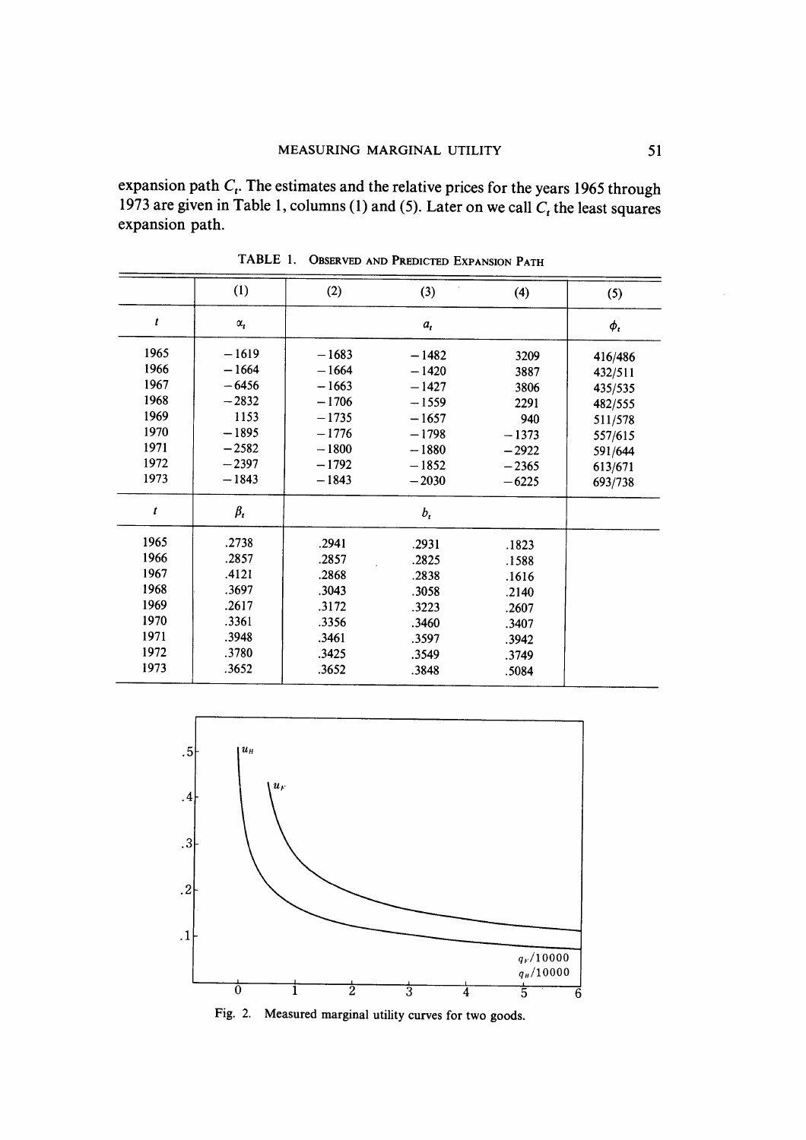expansion path  $C_t$ . The estimates and the relative prices for the years 1965 through 1973 are given in Table 1, columns (1) and (5). Later on we call  $C_t$  the least squares expansion path.

|      | (1)          | (2)     | (3)     | (4)     | (5)      |
|------|--------------|---------|---------|---------|----------|
| t    | $\alpha_{i}$ |         | $a_{t}$ |         | $\phi_i$ |
| 1965 | $-1619$      | $-1683$ | $-1482$ | 3209    | 416/486  |
| 1966 | $-1664$      | $-1664$ | $-1420$ | 3887    | 432/511  |
| 1967 | $-6456$      | $-1663$ | $-1427$ | 3806    | 435/535  |
| 1968 | $-2832$      | $-1706$ | $-1559$ | 2291    | 482/555  |
| 1969 | 1153         | $-1735$ | $-1657$ | 940     | 511/578  |
| 1970 | $-1895$      | $-1776$ | $-1798$ | $-1373$ | 557/615  |
| 1971 | $-2582$      | $-1800$ | $-1880$ | $-2922$ | 591/644  |
| 1972 | $-2397$      | $-1792$ | $-1852$ | $-2365$ | 613/671  |
| 1973 | $-1843$      | $-1843$ | $-2030$ | $-6225$ | 693/738  |
| t    | $\beta_i$    |         | $b_{t}$ |         |          |
| 1965 | .2738        | .2941   | .2931   | .1823   |          |
| 1966 | .2857        | .2857   | .2825   | .1588   |          |
| 1967 | .4121        | .2868   | .2838   | .1616   |          |
| 1968 | .3697        | .3043   | .3058   | .2140   |          |
| 1969 | .2617        | .3172   | .3223   | .2607   |          |
| 1970 | .3361        | .3356   | .3460   | .3407   |          |
| 1971 | .3948        | .3461   | .3597   | .3942   |          |
| 1972 | .3780        | .3425   | .3549   | .3749   |          |
| 1973 | .3652        | .3652   | .3848   | .5084   |          |

TABLE 1. OBSERVED AND PREDICTED EXPANSION PATH



Fig. 2. Measured marginal utility curves for two goods.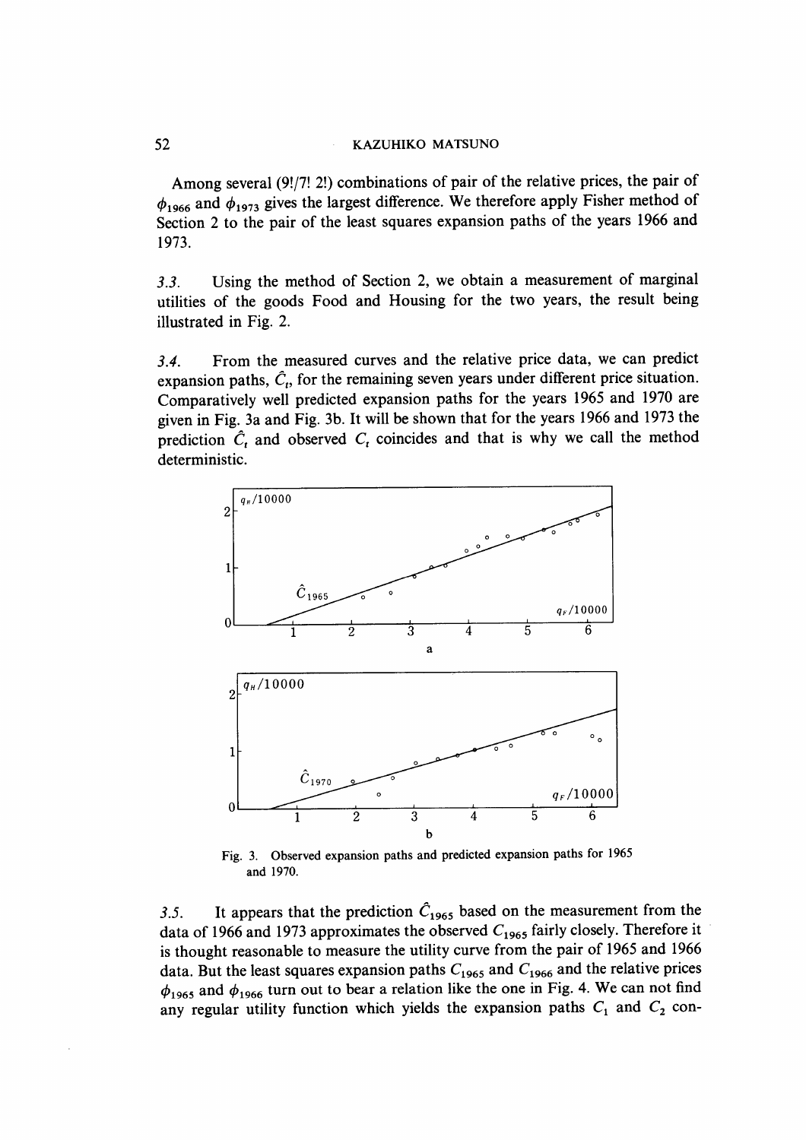Among several (9!/7! 2!) combinations of pair of the relative prices, the pair of  $\phi_{1966}$  and  $\phi_{1973}$  gives the largest difference. We therefore apply Fisher method of Section 2 to the pair of the least squares expansion paths of the years 1966 and 1973.

3.3. Using the method of Section 2, we obtain a measurement of marginal utilities of the goods Food and Housing for the two years, the result being illustrated in Fig. 2.

3.4. From the measured curves and the relative price data, we can predict expansion paths,  $\hat{C}_t$ , for the remaining seven years under different price situation. Comparatively well predicted expansion paths for the years 1965 and 1970 are given in Fig. 3a and Fig. 3b. It will be shown that for the years 1966 and 1973 the prediction  $\hat{C}_t$  and observed  $C_t$  coincides and that is why we call the method deterministic.



Fig. 3. Observed expansion paths and predicted expansion paths for 1965 and 1970.

3.5. It appears that the prediction  $\hat{C}_{1965}$  based on the measurement from the data of 1966 and 1973 approximates the observed  $C_{1965}$  fairly closely. Therefore it is thought reasonable to measure the utility curve from the pair of 1965 and 1966 data. But the least squares expansion paths  $C_{1965}$  and  $C_{1966}$  and the relative prices  $\phi_{1965}$  and  $\phi_{1966}$  turn out to bear a relation like the one in Fig. 4. We can not find any regular utility function which yields the expansion paths  $C_1$  and  $C_2$  con-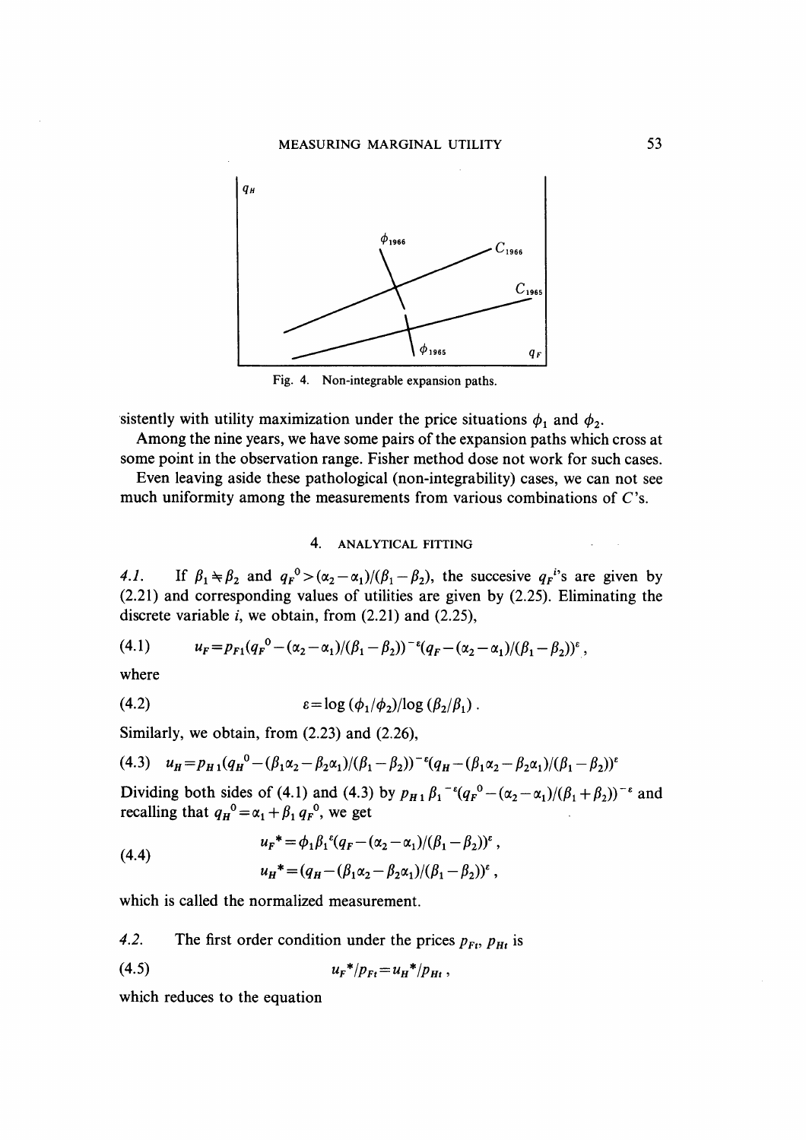## MEASURING MARGINAL UTILITY 53



Fig. 4. Non-integrable expansion paths.

sistently with utility maximization under the price situations  $\phi_1$  and  $\phi_2$ .

Among the nine years, we have some pairs of the expansion paths which cross at some point in the observation range. Fisher method dose not work for such cases.

Even leaving aside these pathological (non-integrability) cases, we can not see much uniformity among the measurements from various combinations of C's.

# 4. ANALYTICAL FITTING

4.1. If  $\beta_1 \neq \beta_2$  and  $q_F^0 > (\alpha_2 - \alpha_1)/(\beta_1 - \beta_2)$ , the succesive  $q_F^i$ 's are given by (2.21) and corresponding values of utilities are given by (2.25). Eliminating the discrete variable *i*, we obtain, from  $(2.21)$  and  $(2.25)$ ,

$$
(4.1) \t u_F = p_{F1}(q_F^0 - (\alpha_2 - \alpha_1)/(\beta_1 - \beta_2))^{-\epsilon}(q_F - (\alpha_2 - \alpha_1)/(\beta_1 - \beta_2))^{\epsilon},
$$

where

$$
(4.2) \t\t\t\t\t\varepsilon = \log (\phi_1/\phi_2)/\log (\beta_2/\beta_1).
$$

Similarly, we obtain, from (2.23) and (2.26),

$$
(4.3) \quad u_H = p_{H1}(q_H^0 - (\beta_1 \alpha_2 - \beta_2 \alpha_1)/(\beta_1 - \beta_2))^{-\epsilon}(q_H - (\beta_1 \alpha_2 - \beta_2 \alpha_1)/(\beta_1 - \beta_2))^{\epsilon}
$$

Dividing both sides of (4.1) and (4.3) by  $p_{H_1} \beta_1^{-1} (q_F^0 - (\alpha_2 - \alpha_1)/(\beta_1 + \beta_2))^{-1}$  and recalling that  $q_H^0 = \alpha_1 + \beta_1 q_F^0$ , we get

(4.4) 
$$
u_F^* = \phi_1 \beta_1^{\epsilon} (q_F - (\alpha_2 - \alpha_1) / (\beta_1 - \beta_2))^{\epsilon} ,
$$

$$
u_H^* = (q_H - (\beta_1 \alpha_2 - \beta_2 \alpha_1) / (\beta_1 - \beta_2))^{\epsilon} ,
$$

which is called the normalized measurement.

4.2. The first order condition under the prices  $p_{Ft}$ ,  $p_{Ht}$  is

$$
(4.5) \t\t u_F^* / p_{Ft} = u_H^* / p_{Ht} ,
$$

which reduces to the equation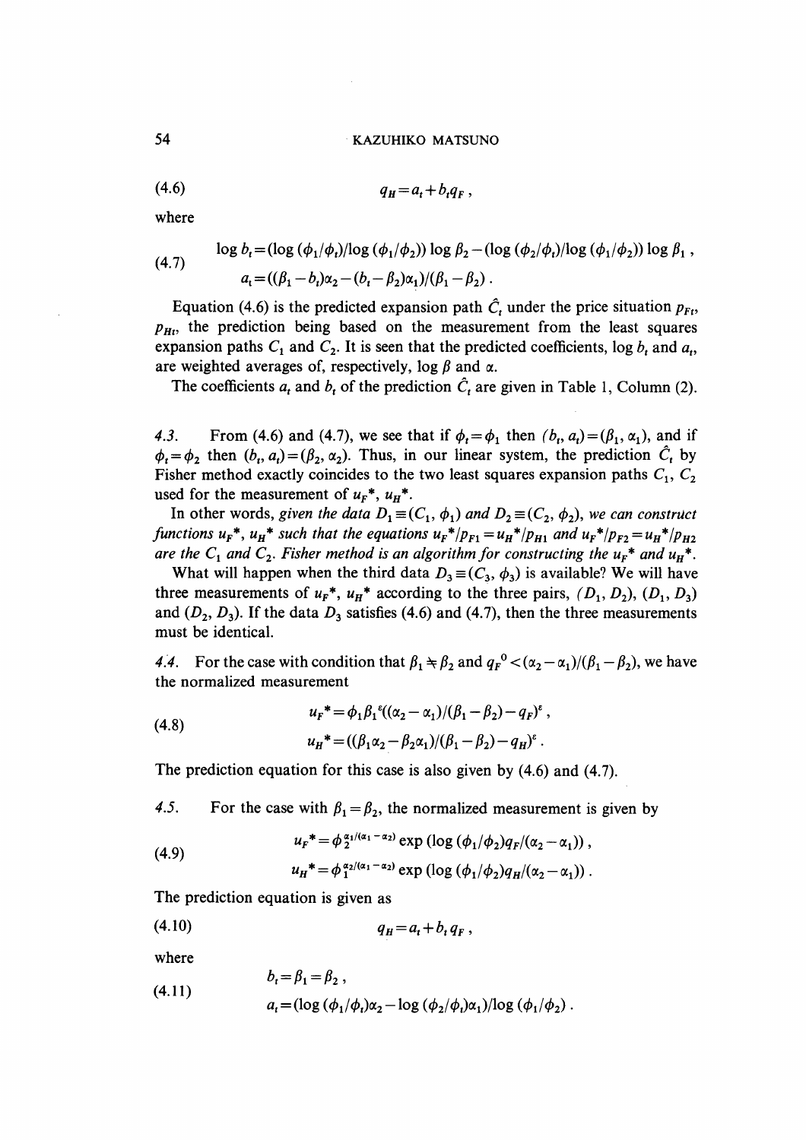$$
(4.6) \t\t q_H = a_t + b_t q_F,
$$

where

(4.7) 
$$
\log b_t = (\log (\phi_1/\phi_t)/\log (\phi_1/\phi_2)) \log \beta_2 - (\log (\phi_2/\phi_t)/\log (\phi_1/\phi_2)) \log \beta_1,
$$

$$
a_t = ((\beta_1 - b_t)\alpha_2 - (b_t - \beta_2)\alpha_1)/(\beta_1 - \beta_2).
$$

Equation (4.6) is the predicted expansion path  $\hat{C}_t$  under the price situation  $p_{F_t}$ ,  $p_{Ht}$ , the prediction being based on the measurement from the least squares expansion paths  $C_1$  and  $C_2$ . It is seen that the predicted coefficients, log  $b_t$  and  $a_t$ , are weighted averages of, respectively, log  $\beta$  and  $\alpha$ .

The coefficients  $a_t$  and  $b_t$  of the prediction  $\hat{C}_t$  are given in Table 1, Column (2).

4.3. From (4.6) and (4.7), we see that if  $\phi_t = \phi_1$  then  $(b_t, a_t) = (\beta_1, \alpha_1)$ , and if  $\phi_t = \phi_2$  then  $(b_t, a_t) = (\beta_2, \alpha_2)$ . Thus, in our linear system, the prediction  $\hat{C}_t$  by Fisher method exactly coincides to the two least squares expansion paths  $C_1$ ,  $C_2$ used for the measurement of  $u_F^*$ ,  $u_H^*$ .

In other words, given the data  $D_1 \equiv (C_1, \phi_1)$  and  $D_2 \equiv (C_2, \phi_2)$ , we can construct functions  $u_F^*$ ,  $u_H^*$  such that the equations  $u_F^*/p_{F1} = u_H^*/p_{H1}$  and  $u_F^*/p_{F2} = u_H^*/p_{H2}$ are the  $C_1$  and  $C_2$ . Fisher method is an algorithm for constructing the  $u_F^*$  and  $u_H^*$ .

What will happen when the third data  $D_3 \equiv (C_3, \phi_3)$  is available? We will have three measurements of  $u_F^*$ ,  $u_H^*$  according to the three pairs,  $(D_1, D_2)$ ,  $(D_1, D_3)$ and  $(D_2, D_3)$ . If the data  $D_3$  satisfies (4.6) and (4.7), then the three measurements must be identical.

4.4. For the case with condition that  $\beta_1 \neq \beta_2$  and  $q_F^0 < (\alpha_2 - \alpha_1)/(\beta_1 - \beta_2)$ , we have the normalized measurement

(4.8) 
$$
u_{F}^* = \phi_1 \beta_1^{\epsilon} ((\alpha_2 - \alpha_1)/(\beta_1 - \beta_2) - q_F)^{\epsilon} ,
$$

$$
u_{H}^* = ((\beta_1 \alpha_2 - \beta_2 \alpha_1)/(\beta_1 - \beta_2) - q_H)^{\epsilon} .
$$

The prediction equation for this case is also given by (4.6) and (4.7).

4.5. For the case with  $\beta_1 = \beta_2$ , the normalized measurement is given by

(4.9) 
$$
u_F^* = \phi_2^{\alpha_1/(\alpha_1 - \alpha_2)} \exp\left(\log\left(\phi_1/\phi_2\right)q_F/(\alpha_2 - \alpha_1)\right),
$$

$$
u_H^* = \phi_1^{\alpha_2/(\alpha_1 - \alpha_2)} \exp\left(\log\left(\phi_1/\phi_2\right)q_H/(\alpha_2 - \alpha_1)\right).
$$

The prediction equation is given as

$$
(4.10) \t\t q_H = a_t + b_t q_F,
$$

where

(4.11) 
$$
b_t = \beta_1 = \beta_2, a_t = (\log (\phi_1/\phi_t)\alpha_2 - \log (\phi_2/\phi_t)\alpha_1)/\log (\phi_1/\phi_2).
$$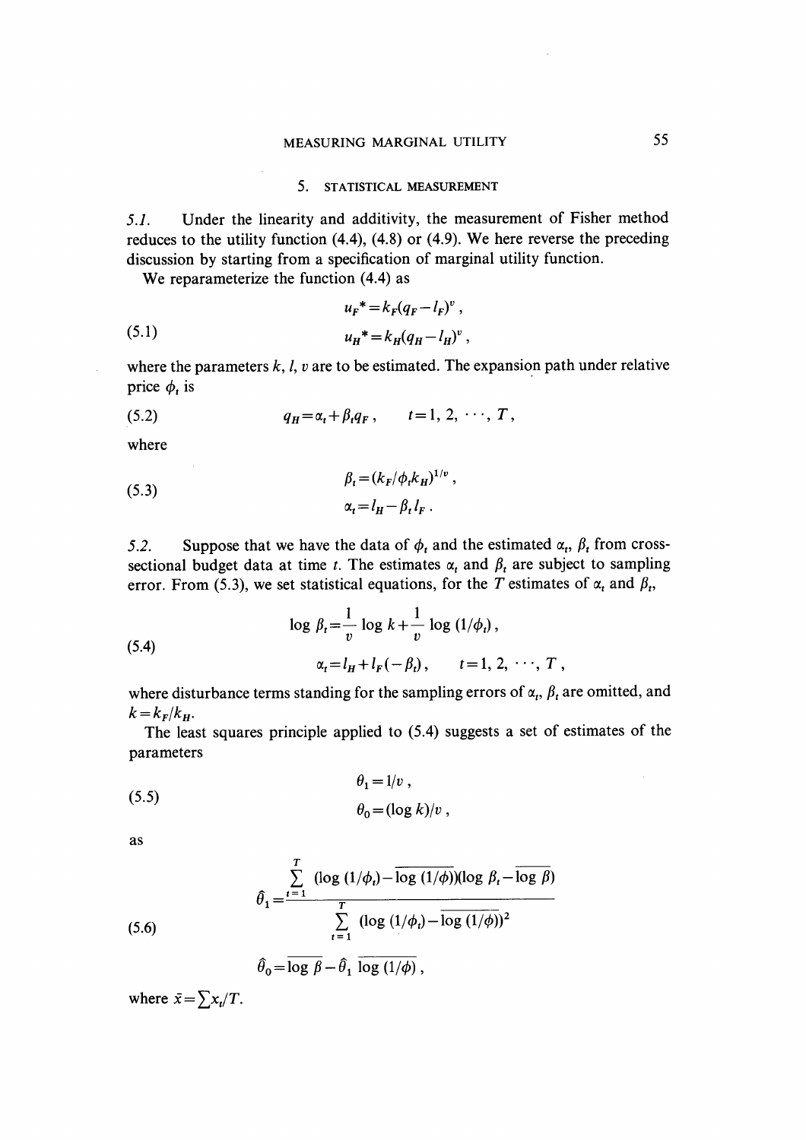#### 5. STATISTICAL MEASUREMENT

5.1. Under the linearity and additivity, the measurement of Fisher method reduces to the utility function (4.4), (4.8) or (4.9). We here reverse the preceding discussion by starting from a specification of marginal utility function.

We reparameterize the function  $(4.4)$  as

(5.1) 
$$
u_{F}^{*} = k_{F}(q_{F} - l_{F})^{v},
$$

$$
u_{H}^{*} = k_{H}(q_{H} - l_{H})^{v},
$$

where the parameters  $k, l, v$  are to be estimated. The expansion path under relative price  $\phi_i$  is

(5.2) 
$$
q_H = \alpha_t + \beta_t q_F, \qquad t = 1, 2, \cdots, T,
$$

where

(5.3) 
$$
\beta_t = (k_F/\phi_t k_H)^{1/\nu},
$$

$$
\alpha_t = l_H - \beta_t l_F.
$$

5.2. Suppose that we have the data of  $\phi_t$  and the estimated  $\alpha_t$ ,  $\beta_t$  from crosssectional budget data at time t. The estimates  $\alpha_t$  and  $\beta_t$  are subject to sampling error. From (5.3), we set statistical equations, for the T estimates of  $\alpha_t$  and  $\beta_t$ ,

(5.4) 
$$
\log \beta_t = \frac{1}{v} \log k + \frac{1}{v} \log (1/\phi_t),
$$

$$
\alpha_t = l_H + l_F(-\beta_t), \qquad t = 1, 2, \dots, T,
$$

where disturbance terms standing for the sampling errors of  $\alpha_t$ ,  $\beta_t$  are omitted, and  $k = k_F/k_H$ .

 The least squares principle applied to (5.4) suggests a set of estimates of the parameters

(5.5) 
$$
\theta_1 = 1/v,
$$

$$
\theta_0 = (\log k)/v,
$$

as

(5.6)  

$$
\hat{\theta}_1 = \frac{\sum_{t=1}^T (\log (1/\phi_t) - \log (1/\phi)) (\log \beta_t - \log \beta)}{\sum_{t=1}^T (\log (1/\phi_t) - \log (1/\phi))^2}
$$

$$
\hat{\theta}_0 = \log \beta - \hat{\theta}_1 \log (1/\phi),
$$

where  $\bar{x} = \sum x_i/T$ .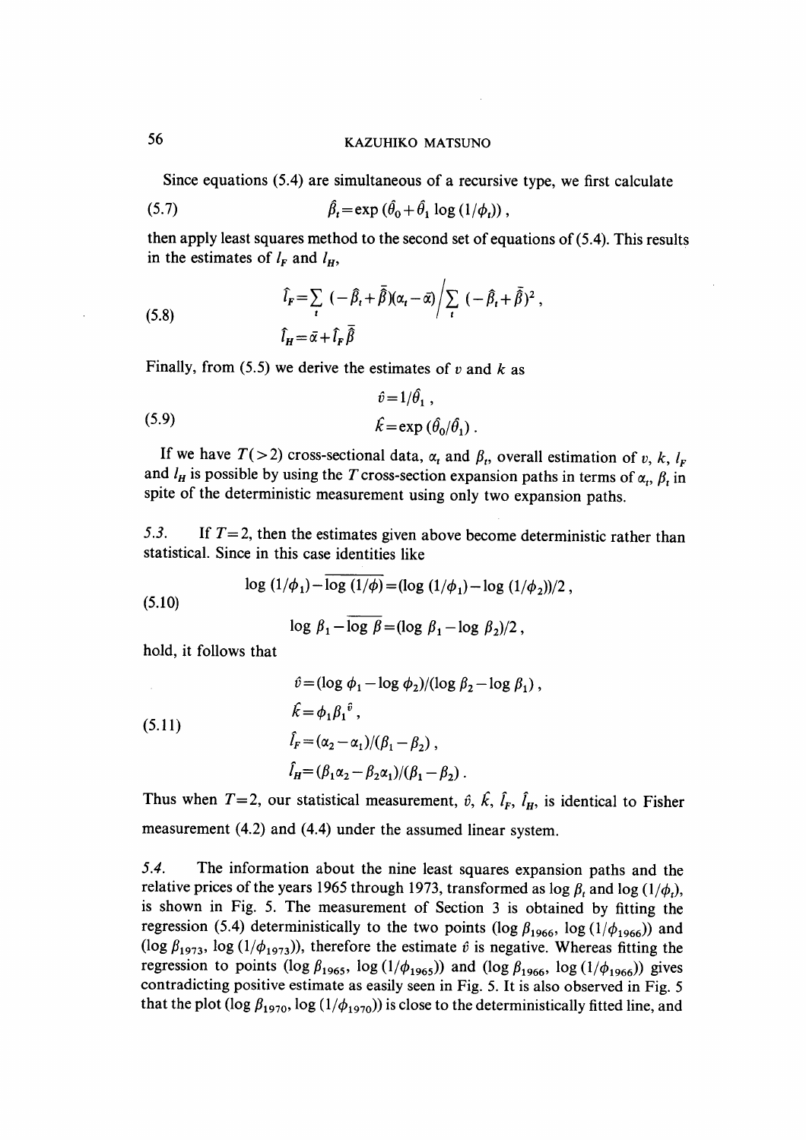Since equations (5.4) are simultaneous of a recursive type, we first calculate

$$
\hat{\beta}_t = \exp(\hat{\theta}_0 + \hat{\theta}_1 \log(1/\phi_t)),
$$

then apply least squares method to the second set of equations of (5.4). This results in the estimates of  $l_F$  and  $l_H$ ,

(5.8) 
$$
\hat{l}_F = \sum_t \left( -\hat{\beta}_t + \bar{\hat{\beta}} \right) (\alpha_t - \bar{\alpha}) \bigg/ \sum_t \left( -\hat{\beta}_t + \bar{\hat{\beta}} \right)^2 ,
$$

$$
\hat{l}_H = \bar{\alpha} + \hat{l}_F \bar{\hat{\beta}}
$$

Finally, from (5.5) we derive the estimates of  $v$  and  $k$  as

(5.9) 
$$
\hat{v} = 1/\hat{\theta}_1,
$$

$$
\hat{k} = \exp(\hat{\theta}_0/\hat{\theta}_1).
$$

If we have  $T(> 2)$  cross-sectional data,  $\alpha_t$  and  $\beta_t$ , overall estimation of v, k,  $l_F$ and  $l_H$  is possible by using the T cross-section expansion paths in terms of  $\alpha_t$ ,  $\beta_t$  in spite of the deterministic measurement using only two expansion paths.

5.3. If  $T=2$ , then the estimates given above become deterministic rather than statistical. Since in this case identities like

$$
\log (1/\phi_1) - \overline{\log (1/\phi)} = (\log (1/\phi_1) - \log (1/\phi_2))/2 ,
$$

(5.10)

$$
\log \beta_1 - \log \beta = (\log \beta_1 - \log \beta_2)/2,
$$

hold, it follows that

(5.11)  
\n
$$
\hat{v} = (\log \phi_1 - \log \phi_2) / (\log \beta_2 - \log \beta_1),
$$
\n
$$
\hat{k} = \phi_1 \beta_1^{\hat{v}},
$$
\n
$$
\hat{l}_F = (\alpha_2 - \alpha_1) / (\beta_1 - \beta_2),
$$
\n
$$
\hat{l}_H = (\beta_1 \alpha_2 - \beta_2 \alpha_1) / (\beta_1 - \beta_2).
$$

Thus when  $T=2$ , our statistical measurement,  $\hat{v}$ ,  $\hat{k}$ ,  $\hat{l}_F$ ,  $\hat{l}_H$ , is identical to Fisher measurement (4.2) and (4.4) under the assumed linear system.

5.4. The information about the nine least squares expansion paths and the relative prices of the years 1965 through 1973, transformed as  $\log \beta_t$  and  $\log (1/\phi_t)$ , is shown in Fig. 5. The measurement of Section 3 is obtained by fitting the regression (5.4) deterministically to the two points (log  $\beta_{1966}$ , log (1/ $\phi_{1966}$ )) and (log  $\beta_{1973}$ , log (1/ $\phi_{1973}$ )), therefore the estimate  $\hat{v}$  is negative. Whereas fitting the regression to points (log  $\beta_{1965}$ , log (1/ $\phi_{1965}$ )) and (log  $\beta_{1966}$ , log (1/ $\phi_{1966}$ )) gives contradicting positive estimate as easily seen in Fig. 5. It is also observed in Fig. 5 that the plot (log  $\beta_{1970}$ , log (1/ $\phi_{1970}$ )) is close to the deterministically fitted line, and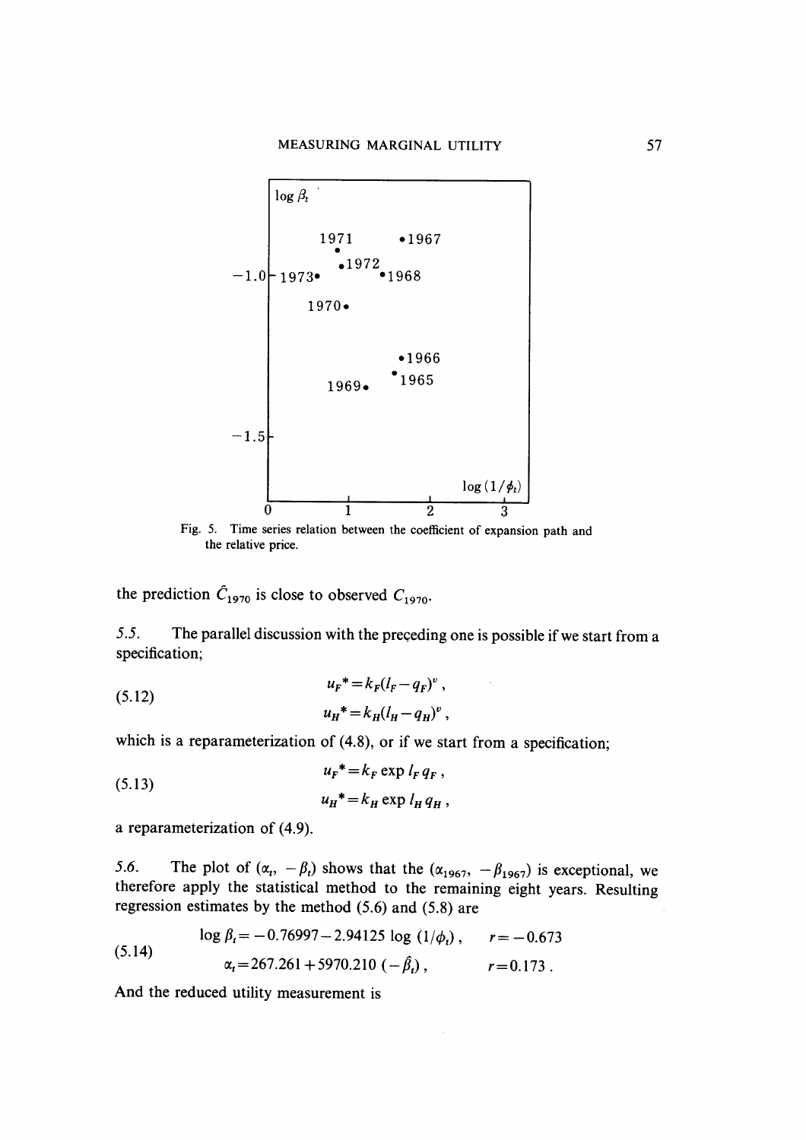

Fig. 5. Time series relation between the coefficient of expansion path and the relative price.

the prediction  $\hat{C}_{1970}$  is close to observed  $C_{1970}$ .

5.5. The parallel discussion with the preceding one is possible if we start from a specification;

(5.12) 
$$
u_{F}^{*} = k_{F}(l_{F} - q_{F})^{v},
$$

$$
u_{H}^{*} = k_{H}(l_{H} - q_{H})^{v},
$$

which is a reparameterization of (4.8), or if we start from a specification;

(5.13) 
$$
u_F^* = k_F \exp l_F q_F,
$$

$$
u_H^* = k_H \exp l_H q_H,
$$

a reparameterization of (4.9).

5.6. The plot of  $(\alpha_t, -\beta_t)$  shows that the  $(\alpha_{1967}, -\beta_{1967})$  is exceptional, we therefore apply the statistical method to the remaining eight years . Resulting regression estimates by the method (5.6) and (5.8) are

(5.14) 
$$
\log \beta_t = -0.76997 - 2.94125 \log (1/\phi_t), \qquad r = -0.673
$$

$$
\alpha_t = 267.261 + 5970.210 \left(-\beta_t\right), \qquad r = 0.173.
$$

And the reduced utility measurement is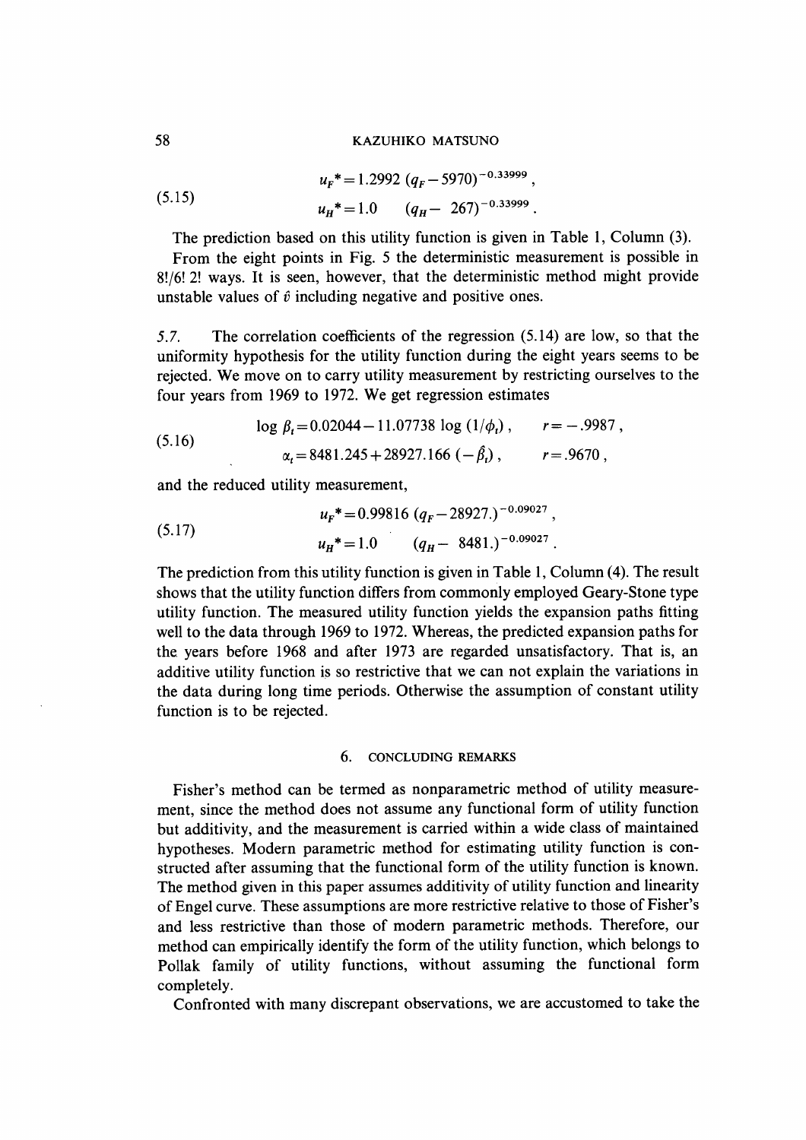(5.15) 
$$
u_F^* = 1.2992 (q_F - 5970)^{-0.33999},
$$

$$
u_H^* = 1.0 \t (q_H - 267)^{-0.33999}.
$$

The prediction based on this utility function is given in Table 1, Column (3).

From the eight points in Fig. 5 the deterministic measurement is possible in 8!/6! 2! ways. It is seen, however, that the deterministic method might provide unstable values of  $\hat{v}$  including negative and positive ones.

5.7. The correlation coefficients of the regression (5.14) are low, so that the uniformity hypothesis for the utility function during the eight years seems to be rejected. We move on to carry utility measurement by restricting ourselves to the four years from 1969 to 1972. We get regression estimates

**Contractor** 

(5.16) 
$$
\log \beta_t = 0.02044 - 11.07738 \log (1/\phi_t), \qquad r = -.9987,
$$

$$
\alpha_t = 8481.245 + 28927.166 (-\beta_t), \qquad r = .9670,
$$

and the reduced utility measurement,

(5.17) 
$$
u_{F}^* = 0.99816 (q_F - 28927.)^{-0.09027},
$$

$$
u_{H}^* = 1.0 \qquad (q_H - 8481.)^{-0.09027}.
$$

The prediction from this utility function is given in Table 1, Column (4). The result shows that the utility function differs from commonly employed Geary-Stone type utility function. The measured utility function yields the expansion paths fitting well to the data through 1969 to 1972. Whereas, the predicted expansion paths for the years before 1968 and after 1973 are regarded unsatisfactory. That is, an additive utility function is so restrictive that we can not explain the variations in the data during long time periods. Otherwise the assumption of constant utility function is to be rejected.

#### 6. CONCLUDING REMARKS

 Fisher's method can be termed as nonparametric method of utility measurement, since the method does not assume any functional form of utility function but additivity, and the measurement is carried within a wide class of maintained hypotheses. Modern parametric method for estimating utility function is constructed after assuming that the functional form of the utility function is known. The method given in this paper assumes additivity of utility function and linearity of Engel curve. These assumptions are more restrictive relative to those of Fisher's and less restrictive than those of modern parametric methods. Therefore, our method can empirically identify the form of the utility function, which belongs to Pollak family of utility functions, without assuming the functional form completely.

Confronted with many discrepant observations, we are accustomed to take the